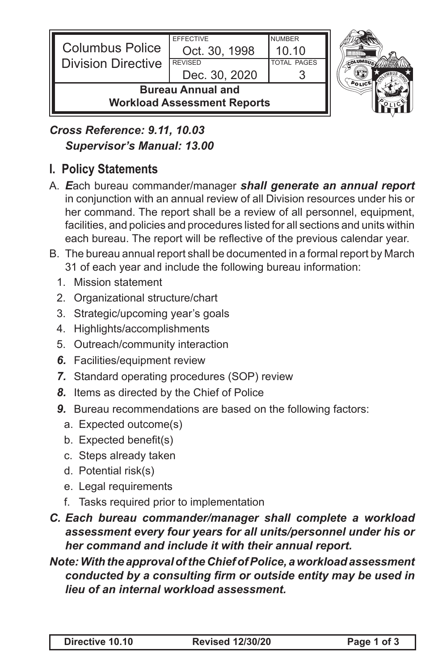

### *Cross Reference: 9.11, 10.03 Supervisor's Manual: 13.00*

## **I. Policy Statements**

- A. *E*ach bureau commander/manager *shall generate an annual report*  in conjunction with an annual review of all Division resources under his or her command. The report shall be a review of all personnel, equipment, facilities, and policies and procedures listed for all sections and units within each bureau. The report will be reflective of the previous calendar year.
- B. The bureau annual report shall be documented in a formal report by March 31 of each year and include the following bureau information:
	- 1. Mission statement
	- 2. Organizational structure/chart
	- 3. Strategic/upcoming year's goals
	- 4. Highlights/accomplishments
	- 5. Outreach/community interaction
	- *6.* Facilities/equipment review
	- *7.* Standard operating procedures (SOP) review
	- *8.* Items as directed by the Chief of Police
	- *9.* Bureau recommendations are based on the following factors:
		- a. Expected outcome(s)
		- b. Expected benefit(s)
		- c. Steps already taken
		- d. Potential risk(s)
		- e. Legal requirements
		- f. Tasks required prior to implementation
- *C. Each bureau commander/manager shall complete a workload assessment every four years for all units/personnel under his or her command and include it with their annual report.*

### *Note: With the approval of the Chief of Police, a workload assessment conducted by a consulting firm or outside entity may be used in lieu of an internal workload assessment.*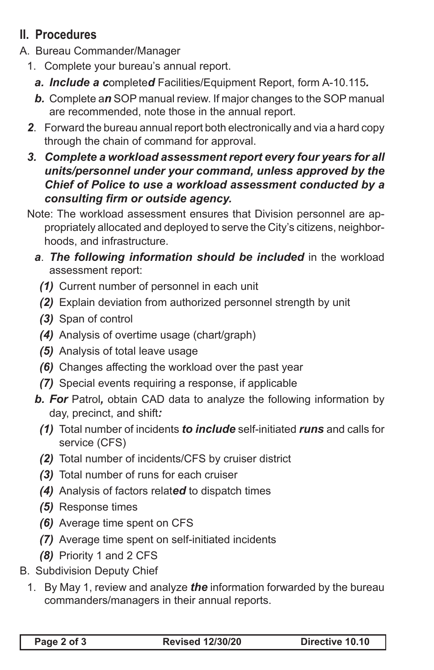# **II. Procedures**

- A. Bureau Commander/Manager
	- 1. Complete your bureau's annual report.
		- *a. Include a c*omplete*d* Facilities/Equipment Report, form A-10.115*.*
		- *b.* Complete a*n* SOP manual review. If major changes to the SOP manual are recommended, note those in the annual report.
	- *2*. Forward the bureau annual report both electronically and via a hard copy through the chain of command for approval.
	- *3. Complete a workload assessment report every four years for all units/personnel under your command, unless approved by the Chief of Police to use a workload assessment conducted by a consulting firm or outside agency.*
	- Note: The workload assessment ensures that Division personnel are appropriately allocated and deployed to serve the City's citizens, neighborhoods, and infrastructure.
		- **a.** The following information should be included in the workload assessment report:
			- *(1)* Current number of personnel in each unit
			- *(2)* Explain deviation from authorized personnel strength by unit
			- *(3)* Span of control
			- *(4)* Analysis of overtime usage (chart/graph)
			- *(5)* Analysis of total leave usage
			- *(6)* Changes affecting the workload over the past year
			- *(7)* Special events requiring a response, if applicable
		- *b. For* Patrol*,* obtain CAD data to analyze the following information by day, precinct, and shift*:*
			- *(1)* Total number of incidents *to include* self-initiated *runs* and calls for service (CFS)
			- *(2)* Total number of incidents/CFS by cruiser district
			- *(3)* Total number of runs for each cruiser
			- *(4)* Analysis of factors relat*ed* to dispatch times
			- *(5)* Response times
			- *(6)* Average time spent on CFS
			- *(7)* Average time spent on self-initiated incidents
			- *(8)* Priority 1 and 2 CFS
- B. Subdivision Deputy Chief
	- 1. By May 1, review and analyze *the* information forwarded by the bureau commanders/managers in their annual reports.